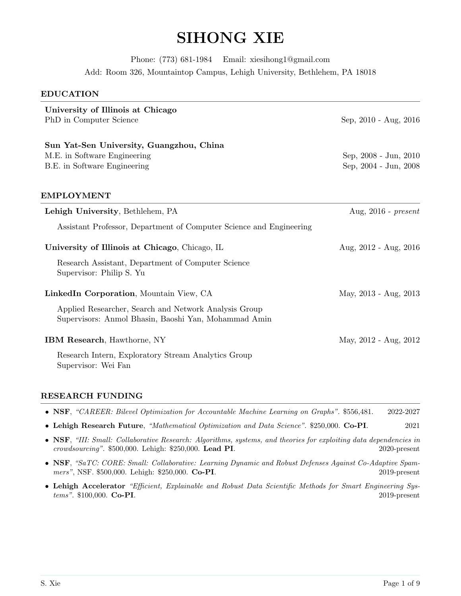# SIHONG XIE

Phone: (773) 681-1984 Email: xiesihong1@gmail.com Add: Room 326, Mountaintop Campus, Lehigh University, Bethlehem, PA 18018

#### EDUCATION

| University of Illinois at Chicago<br>PhD in Computer Science                                                  | Sep, 2010 - Aug, 2016                          |  |  |
|---------------------------------------------------------------------------------------------------------------|------------------------------------------------|--|--|
| Sun Yat-Sen University, Guangzhou, China<br>M.E. in Software Engineering<br>B.E. in Software Engineering      | Sep, 2008 - Jun, 2010<br>Sep, 2004 - Jun, 2008 |  |  |
| <b>EMPLOYMENT</b>                                                                                             |                                                |  |  |
| Lehigh University, Bethlehem, PA                                                                              | Aug, $2016$ - $present$                        |  |  |
| Assistant Professor, Department of Computer Science and Engineering                                           |                                                |  |  |
| University of Illinois at Chicago, Chicago, IL                                                                | Aug, $2012$ - Aug, $2016$                      |  |  |
| Research Assistant, Department of Computer Science<br>Supervisor: Philip S. Yu                                |                                                |  |  |
| LinkedIn Corporation, Mountain View, CA                                                                       | May, 2013 - Aug, 2013                          |  |  |
| Applied Researcher, Search and Network Analysis Group<br>Supervisors: Anmol Bhasin, Baoshi Yan, Mohammad Amin |                                                |  |  |
| <b>IBM Research, Hawthorne, NY</b>                                                                            | May, 2012 - Aug, 2012                          |  |  |
| Research Intern, Exploratory Stream Analytics Group<br>Supervisor: Wei Fan                                    |                                                |  |  |

#### RESEARCH FUNDING

|  |  | • NSF, "CAREER: Bilevel Optimization for Accountable Machine Learning on Graphs". \$556,481. |  |  |  | 2022-2027 |
|--|--|----------------------------------------------------------------------------------------------|--|--|--|-----------|
|  |  |                                                                                              |  |  |  |           |

- Lehigh Research Future, "Mathematical Optimization and Data Science". \$250,000. Co-PI. 2021
- NSF, "III: Small: Collaborative Research: Algorithms, systems, and theories for exploiting data dependencies in crowdsourcing". \$500,000. Lehigh: \$250,000. Lead PI. 2020-present
- NSF, "SaTC: CORE: Small: Collaborative: Learning Dynamic and Robust Defenses Against Co-Adaptive Spammers", NSF. \$500,000. Lehigh: \$250,000. Co-PI. 2019-present
- Lehigh Accelerator "Efficient, Explainable and Robust Data Scientific Methods for Smart Engineering Systems". \$100,000. Co-PI. 2019-present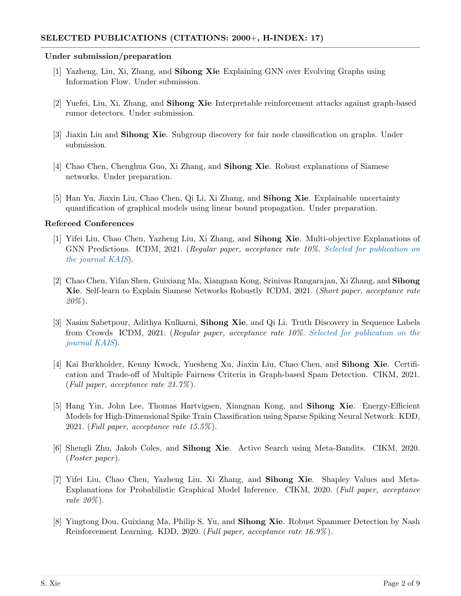#### Under submission/preparation

- [1] Yazheng, Liu, Xi, Zhang, and Sihong Xie Explaining GNN over Evolving Graphs using Information Flow. Under submission.
- [2] Yuefei, Liu, Xi, Zhang, and Sihong Xie Interpretable reinforcement attacks against graph-based rumor detectors. Under submission.
- [3] Jiaxin Liu and Sihong Xie. Subgroup discovery for fair node classification on graphs. Under submission.
- [4] Chao Chen, Chenghua Guo, Xi Zhang, and Sihong Xie. Robust explanations of Siamese networks. Under preparation.
- [5] Han Yu, Jiaxin Liu, Chao Chen, Qi Li, Xi Zhang, and Sihong Xie. Explainable uncertainty quantification of graphical models using linear bound propagation. Under preparation.

#### Refereed Conferences

- [1] Yifei Liu, Chao Chen, Yazheng Liu, Xi Zhang, and Sihong Xie. Multi-objective Explanations of GNN Predictions. ICDM, 2021. (Regular paper, acceptance rate 10%. Selected for publication on the journal KAIS).
- [2] Chao Chen, Yifan Shen, Guixiang Ma, Xiangnan Kong, Srinivas Rangarajan, Xi Zhang, and Sihong Xie. Self-learn to Explain Siamese Networks Robustly ICDM, 2021. (Short paper, acceptance rate  $20\%)$ .
- [3] Nasim Sabetpour, Adithya Kulkarni, Sihong Xie, and Qi Li. Truth Discovery in Sequence Labels from Crowds ICDM, 2021. (Regular paper, acceptance rate 10%. Selected for publication on the journal KAIS).
- [4] Kai Burkholder, Kenny Kwock, Yuesheng Xu, Jiaxin Liu, Chao Chen, and Sihong Xie. Certification and Trade-off of Multiple Fairness Criteria in Graph-based Spam Detection. CIKM, 2021. (Full paper, acceptance rate 21.7% ).
- [5] Hang Yin, John Lee, Thomas Hartvigsen, Xiangnan Kong, and Sihong Xie. Energy-Efficient Models for High-Dimensional Spike Train Classification using Sparse Spiking Neural Network. KDD, 2021. (Full paper, acceptance rate  $15.5\%$ ).
- [6] Shengli Zhu, Jakob Coles, and Sihong Xie. Active Search using Meta-Bandits. CIKM, 2020.  $(Poster\ paper).$
- [7] Yifei Liu, Chao Chen, Yazheng Liu, Xi Zhang, and Sihong Xie. Shapley Values and Meta-Explanations for Probabilistic Graphical Model Inference. CIKM, 2020. (Full paper, acceptance rate  $20\%$ ).
- [8] Yingtong Dou, Guixiang Ma, Philip S. Yu, and Sihong Xie. Robust Spammer Detection by Nash Reinforcement Learning. KDD, 2020. (*Full paper, acceptance rate 16.9%*).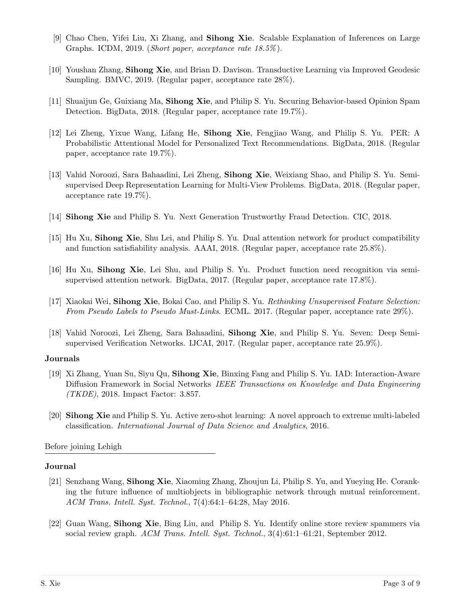- [9] Chao Chen, Yifei Liu, Xi Zhang, and Sihong Xie. Scalable Explanation of Inferences on Large Graphs. ICDM, 2019. (Short paper, acceptance rate 18.5% ).
- [10] Youshan Zhang, Sihong Xie, and Brian D. Davison. Transductive Learning via Improved Geodesic Sampling. BMVC, 2019. (Regular paper, acceptance rate 28%).
- [11] Shuaijun Ge, Guixiang Ma, Sihong Xie, and Philip S. Yu. Securing Behavior-based Opinion Spam Detection. BigData, 2018. (Regular paper, acceptance rate 19.7%).
- [12] Lei Zheng, Yixue Wang, Lifang He, Sihong Xie, Fengjiao Wang, and Philip S. Yu. PER: A Probabilistic Attentional Model for Personalized Text Recommendations. BigData, 2018. (Regular paper, acceptance rate 19.7%).
- [13] Vahid Noroozi, Sara Bahaadini, Lei Zheng, Sihong Xie, Weixiang Shao, and Philip S. Yu. Semisupervised Deep Representation Learning for Multi-View Problems. BigData, 2018. (Regular paper, acceptance rate 19.7%).
- [14] Sihong Xie and Philip S. Yu. Next Generation Trustworthy Fraud Detection. CIC, 2018.
- [15] Hu Xu, Sihong Xie, Shu Lei, and Philip S. Yu. Dual attention network for product compatibility and function satisfiability analysis. AAAI, 2018. (Regular paper, acceptance rate 25.8%).
- [16] Hu Xu, Sihong Xie, Lei Shu, and Philip S. Yu. Product function need recognition via semisupervised attention network. BigData, 2017. (Regular paper, acceptance rate 17.8%).
- [17] Xiaokai Wei, Sihong Xie, Bokai Cao, and Philip S. Yu. Rethinking Unsupervised Feature Selection: From Pseudo Labels to Pseudo Must-Links. ECML. 2017. (Regular paper, acceptance rate 29%).
- [18] Vahid Noroozi, Lei Zheng, Sara Bahaadini, Sihong Xie, and Philip S. Yu. Seven: Deep Semisupervised Verification Networks. IJCAI, 2017. (Regular paper, acceptance rate 25.9%).

# Journals

- [19] Xi Zhang, Yuan Su, Siyu Qu, Sihong Xie, Binxing Fang and Philip S. Yu. IAD: Interaction-Aware Diffusion Framework in Social Networks IEEE Transactions on Knowledge and Data Engineering (TKDE), 2018. Impact Factor: 3.857.
- [20] Sihong Xie and Philip S. Yu. Active zero-shot learning: A novel approach to extreme multi-labeled classification. International Journal of Data Science and Analytics, 2016.

Before joining Lehigh

# Journal

- [21] Senzhang Wang, Sihong Xie, Xiaoming Zhang, Zhoujun Li, Philip S. Yu, and Yueying He. Coranking the future influence of multiobjects in bibliographic network through mutual reinforcement. ACM Trans. Intell. Syst. Technol., 7(4):64:1–64:28, May 2016.
- [22] Guan Wang, Sihong Xie, Bing Liu, and Philip S. Yu. Identify online store review spammers via social review graph. ACM Trans. Intell. Syst. Technol., 3(4):61:1–61:21, September 2012.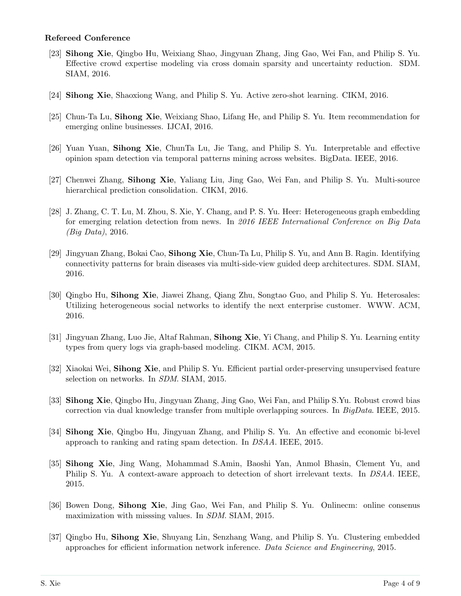# Refereed Conference

- [23] Sihong Xie, Qingbo Hu, Weixiang Shao, Jingyuan Zhang, Jing Gao, Wei Fan, and Philip S. Yu. Effective crowd expertise modeling via cross domain sparsity and uncertainty reduction. SDM. SIAM, 2016.
- [24] Sihong Xie, Shaoxiong Wang, and Philip S. Yu. Active zero-shot learning. CIKM, 2016.
- [25] Chun-Ta Lu, Sihong Xie, Weixiang Shao, Lifang He, and Philip S. Yu. Item recommendation for emerging online businesses. IJCAI, 2016.
- [26] Yuan Yuan, Sihong Xie, ChunTa Lu, Jie Tang, and Philip S. Yu. Interpretable and effective opinion spam detection via temporal patterns mining across websites. BigData. IEEE, 2016.
- [27] Chenwei Zhang, Sihong Xie, Yaliang Liu, Jing Gao, Wei Fan, and Philip S. Yu. Multi-source hierarchical prediction consolidation. CIKM, 2016.
- [28] J. Zhang, C. T. Lu, M. Zhou, S. Xie, Y. Chang, and P. S. Yu. Heer: Heterogeneous graph embedding for emerging relation detection from news. In 2016 IEEE International Conference on Big Data (Big Data), 2016.
- [29] Jingyuan Zhang, Bokai Cao, Sihong Xie, Chun-Ta Lu, Philip S. Yu, and Ann B. Ragin. Identifying connectivity patterns for brain diseases via multi-side-view guided deep architectures. SDM. SIAM, 2016.
- [30] Qingbo Hu, Sihong Xie, Jiawei Zhang, Qiang Zhu, Songtao Guo, and Philip S. Yu. Heterosales: Utilizing heterogeneous social networks to identify the next enterprise customer. WWW. ACM, 2016.
- [31] Jingyuan Zhang, Luo Jie, Altaf Rahman, Sihong Xie, Yi Chang, and Philip S. Yu. Learning entity types from query logs via graph-based modeling. CIKM. ACM, 2015.
- [32] Xiaokai Wei, Sihong Xie, and Philip S. Yu. Efficient partial order-preserving unsupervised feature selection on networks. In *SDM*. SIAM, 2015.
- [33] Sihong Xie, Qingbo Hu, Jingyuan Zhang, Jing Gao, Wei Fan, and Philip S.Yu. Robust crowd bias correction via dual knowledge transfer from multiple overlapping sources. In BigData. IEEE, 2015.
- [34] Sihong Xie, Qingbo Hu, Jingyuan Zhang, and Philip S. Yu. An effective and economic bi-level approach to ranking and rating spam detection. In DSAA. IEEE, 2015.
- [35] Sihong Xie, Jing Wang, Mohammad S.Amin, Baoshi Yan, Anmol Bhasin, Clement Yu, and Philip S. Yu. A context-aware approach to detection of short irrelevant texts. In DSAA. IEEE, 2015.
- [36] Bowen Dong, Sihong Xie, Jing Gao, Wei Fan, and Philip S. Yu. Onlinecm: online consenus maximization with misssing values. In SDM. SIAM, 2015.
- [37] Qingbo Hu, Sihong Xie, Shuyang Lin, Senzhang Wang, and Philip S. Yu. Clustering embedded approaches for efficient information network inference. Data Science and Engineering, 2015.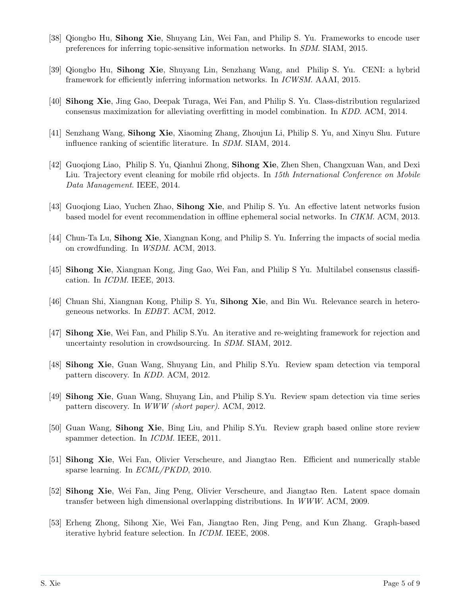- [38] Qiongbo Hu, Sihong Xie, Shuyang Lin, Wei Fan, and Philip S. Yu. Frameworks to encode user preferences for inferring topic-sensitive information networks. In SDM. SIAM, 2015.
- [39] Qiongbo Hu, Sihong Xie, Shuyang Lin, Senzhang Wang, and Philip S. Yu. CENI: a hybrid framework for efficiently inferring information networks. In ICWSM. AAAI, 2015.
- [40] Sihong Xie, Jing Gao, Deepak Turaga, Wei Fan, and Philip S. Yu. Class-distribution regularized consensus maximization for alleviating overfitting in model combination. In KDD. ACM, 2014.
- [41] Senzhang Wang, Sihong Xie, Xiaoming Zhang, Zhoujun Li, Philip S. Yu, and Xinyu Shu. Future influence ranking of scientific literature. In SDM. SIAM, 2014.
- [42] Guoqiong Liao, Philip S. Yu, Qianhui Zhong, Sihong Xie, Zhen Shen, Changxuan Wan, and Dexi Liu. Trajectory event cleaning for mobile rfid objects. In 15th International Conference on Mobile Data Management. IEEE, 2014.
- [43] Guoqiong Liao, Yuchen Zhao, Sihong Xie, and Philip S. Yu. An effective latent networks fusion based model for event recommendation in offline ephemeral social networks. In CIKM. ACM, 2013.
- [44] Chun-Ta Lu, Sihong Xie, Xiangnan Kong, and Philip S. Yu. Inferring the impacts of social media on crowdfunding. In WSDM. ACM, 2013.
- [45] Sihong Xie, Xiangnan Kong, Jing Gao, Wei Fan, and Philip S Yu. Multilabel consensus classification. In ICDM. IEEE, 2013.
- [46] Chuan Shi, Xiangnan Kong, Philip S. Yu, Sihong Xie, and Bin Wu. Relevance search in heterogeneous networks. In EDBT. ACM, 2012.
- [47] Sihong Xie, Wei Fan, and Philip S.Yu. An iterative and re-weighting framework for rejection and uncertainty resolution in crowdsourcing. In SDM. SIAM, 2012.
- [48] Sihong Xie, Guan Wang, Shuyang Lin, and Philip S.Yu. Review spam detection via temporal pattern discovery. In KDD. ACM, 2012.
- [49] Sihong Xie, Guan Wang, Shuyang Lin, and Philip S.Yu. Review spam detection via time series pattern discovery. In WWW (short paper). ACM, 2012.
- [50] Guan Wang, Sihong Xie, Bing Liu, and Philip S.Yu. Review graph based online store review spammer detection. In ICDM. IEEE, 2011.
- [51] Sihong Xie, Wei Fan, Olivier Verscheure, and Jiangtao Ren. Efficient and numerically stable sparse learning. In ECML/PKDD, 2010.
- [52] Sihong Xie, Wei Fan, Jing Peng, Olivier Verscheure, and Jiangtao Ren. Latent space domain transfer between high dimensional overlapping distributions. In WWW. ACM, 2009.
- [53] Erheng Zhong, Sihong Xie, Wei Fan, Jiangtao Ren, Jing Peng, and Kun Zhang. Graph-based iterative hybrid feature selection. In ICDM. IEEE, 2008.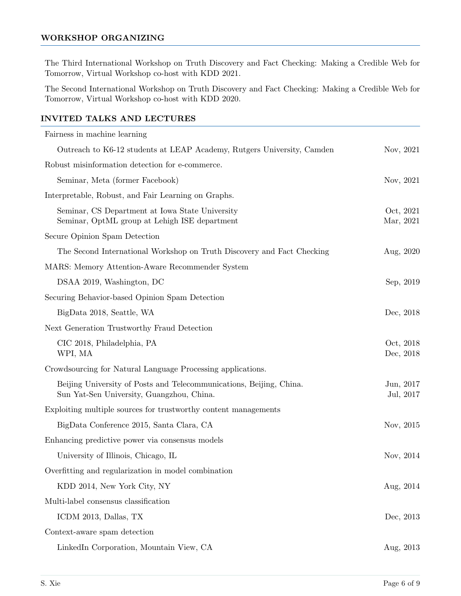# WORKSHOP ORGANIZING

The Third International Workshop on Truth Discovery and Fact Checking: Making a Credible Web for Tomorrow, Virtual Workshop co-host with KDD 2021.

The Second International Workshop on Truth Discovery and Fact Checking: Making a Credible Web for Tomorrow, Virtual Workshop co-host with KDD 2020.

# INVITED TALKS AND LECTURES

| Fairness in machine learning                                                                                     |                        |
|------------------------------------------------------------------------------------------------------------------|------------------------|
| Outreach to K6-12 students at LEAP Academy, Rutgers University, Camden                                           | Nov, 2021              |
| Robust misinformation detection for e-commerce.                                                                  |                        |
| Seminar, Meta (former Facebook)                                                                                  | Nov, 2021              |
| Interpretable, Robust, and Fair Learning on Graphs.                                                              |                        |
| Seminar, CS Department at Iowa State University<br>Seminar, OptML group at Lehigh ISE department                 | Oct, 2021<br>Mar, 2021 |
| Secure Opinion Spam Detection                                                                                    |                        |
| The Second International Workshop on Truth Discovery and Fact Checking                                           | Aug, 2020              |
| MARS: Memory Attention-Aware Recommender System                                                                  |                        |
| DSAA 2019, Washington, DC                                                                                        | Sep, 2019              |
| Securing Behavior-based Opinion Spam Detection                                                                   |                        |
| BigData 2018, Seattle, WA                                                                                        | Dec, 2018              |
| Next Generation Trustworthy Fraud Detection                                                                      |                        |
| CIC 2018, Philadelphia, PA<br>WPI, MA                                                                            | Oct, 2018<br>Dec, 2018 |
| Crowdsourcing for Natural Language Processing applications.                                                      |                        |
| Beijing University of Posts and Telecommunications, Beijing, China.<br>Sun Yat-Sen University, Guangzhou, China. | Jun, 2017<br>Jul, 2017 |
| Exploiting multiple sources for trustworthy content managements                                                  |                        |
| BigData Conference 2015, Santa Clara, CA                                                                         | Nov, 2015              |
| Enhancing predictive power via consensus models                                                                  |                        |
| University of Illinois, Chicago, IL                                                                              | Nov, 2014              |
| Overfitting and regularization in model combination                                                              |                        |
| KDD 2014, New York City, NY                                                                                      | Aug, $2014$            |
| Multi-label consensus classification                                                                             |                        |
| ICDM 2013, Dallas, TX                                                                                            | Dec, 2013              |
| Context-aware spam detection                                                                                     |                        |
| LinkedIn Corporation, Mountain View, CA                                                                          | Aug, 2013              |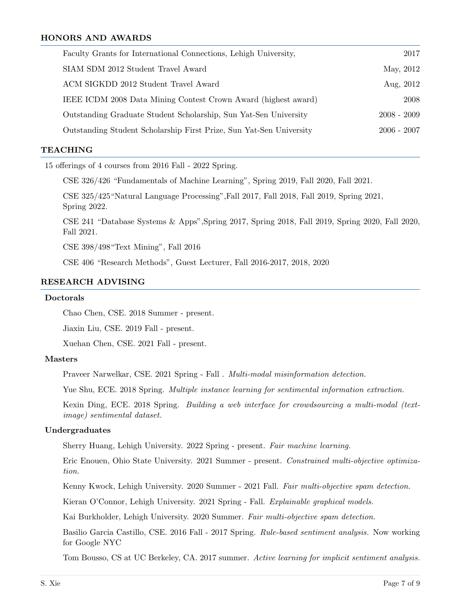# HONORS AND AWARDS

| Faculty Grants for International Connections, Lehigh University,    | 2017          |
|---------------------------------------------------------------------|---------------|
| SIAM SDM 2012 Student Travel Award                                  | May, 2012     |
| ACM SIGKDD 2012 Student Travel Award                                | Aug, 2012     |
| IEEE ICDM 2008 Data Mining Contest Crown Award (highest award)      | 2008          |
| Outstanding Graduate Student Scholarship, Sun Yat-Sen University    | $2008 - 2009$ |
| Outstanding Student Scholarship First Prize, Sun Yat-Sen University | $2006 - 2007$ |

# **TEACHING**

15 offerings of 4 courses from 2016 Fall - 2022 Spring.

CSE 326/426 "Fundamentals of Machine Learning", Spring 2019, Fall 2020, Fall 2021.

CSE 325/425"Natural Language Processing",Fall 2017, Fall 2018, Fall 2019, Spring 2021, Spring 2022.

CSE 241 "Database Systems & Apps",Spring 2017, Spring 2018, Fall 2019, Spring 2020, Fall 2020, Fall 2021.

CSE 398/498"Text Mining", Fall 2016

CSE 406 "Research Methods", Guest Lecturer, Fall 2016-2017, 2018, 2020

#### RESEARCH ADVISING

#### Doctorals

Chao Chen, CSE. 2018 Summer - present.

Jiaxin Liu, CSE. 2019 Fall - present.

Xuehan Chen, CSE. 2021 Fall - present.

#### Masters

Praveer Narwelkar, CSE. 2021 Spring - Fall . Multi-modal misinformation detection.

Yue Shu, ECE. 2018 Spring. *Multiple instance learning for sentimental information extraction.* 

Kexin Ding, ECE. 2018 Spring. Building a web interface for crowdsourcing a multi-modal (textimage) sentimental dataset.

#### Undergraduates

Sherry Huang, Lehigh University. 2022 Spring - present. Fair machine learning.

Eric Enouen, Ohio State University. 2021 Summer - present. Constrained multi-objective optimization.

Kenny Kwock, Lehigh University. 2020 Summer - 2021 Fall. Fair multi-objective spam detection.

Kieran O'Connor, Lehigh University. 2021 Spring - Fall. Explainable graphical models.

Kai Burkholder, Lehigh University. 2020 Summer. Fair multi-objective spam detection.

Basilio Garcia Castillo, CSE. 2016 Fall - 2017 Spring. Rule-based sentiment analysis. Now working for Google NYC

Tom Bousso, CS at UC Berkeley, CA. 2017 summer. Active learning for implicit sentiment analysis.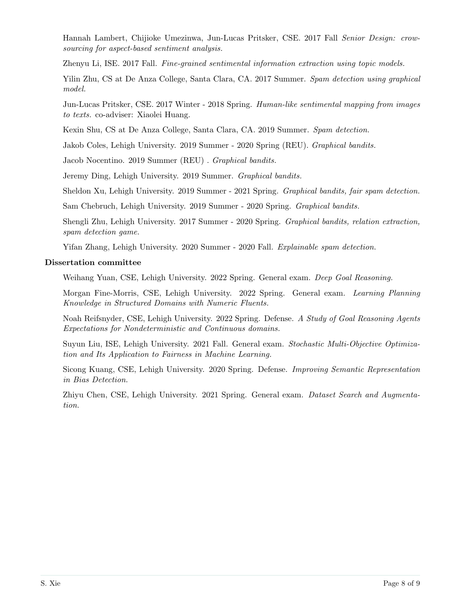Hannah Lambert, Chijioke Umezinwa, Jun-Lucas Pritsker, CSE. 2017 Fall Senior Design: crowsourcing for aspect-based sentiment analysis.

Zhenyu Li, ISE. 2017 Fall. Fine-grained sentimental information extraction using topic models.

Yilin Zhu, CS at De Anza College, Santa Clara, CA. 2017 Summer. Spam detection using graphical model.

Jun-Lucas Pritsker, CSE. 2017 Winter - 2018 Spring. Human-like sentimental mapping from images to texts. co-adviser: Xiaolei Huang.

Kexin Shu, CS at De Anza College, Santa Clara, CA. 2019 Summer. Spam detection.

Jakob Coles, Lehigh University. 2019 Summer - 2020 Spring (REU). Graphical bandits.

Jacob Nocentino. 2019 Summer (REU) . Graphical bandits.

Jeremy Ding, Lehigh University. 2019 Summer. Graphical bandits.

Sheldon Xu, Lehigh University. 2019 Summer - 2021 Spring. Graphical bandits, fair spam detection.

Sam Chebruch, Lehigh University. 2019 Summer - 2020 Spring. Graphical bandits.

Shengli Zhu, Lehigh University. 2017 Summer - 2020 Spring. Graphical bandits, relation extraction, spam detection game.

Yifan Zhang, Lehigh University. 2020 Summer - 2020 Fall. Explainable spam detection.

#### Dissertation committee

Weihang Yuan, CSE, Lehigh University. 2022 Spring. General exam. Deep Goal Reasoning.

Morgan Fine-Morris, CSE, Lehigh University. 2022 Spring. General exam. Learning Planning Knowledge in Structured Domains with Numeric Fluents.

Noah Reifsnyder, CSE, Lehigh University. 2022 Spring. Defense. A Study of Goal Reasoning Agents Expectations for Nondeterministic and Continuous domains.

Suyun Liu, ISE, Lehigh University. 2021 Fall. General exam. Stochastic Multi-Objective Optimization and Its Application to Fairness in Machine Learning.

Sicong Kuang, CSE, Lehigh University. 2020 Spring. Defense. Improving Semantic Representation in Bias Detection.

Zhiyu Chen, CSE, Lehigh University. 2021 Spring. General exam. Dataset Search and Augmentation.